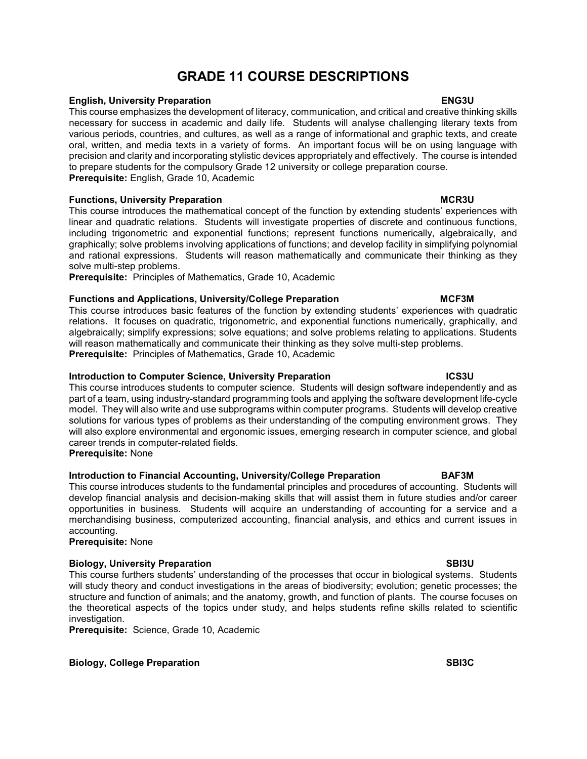# GRADE 11 COURSE DESCRIPTIONS

### English, University Preparation ENG3U

This course emphasizes the development of literacy, communication, and critical and creative thinking skills necessary for success in academic and daily life. Students will analyse challenging literary texts from various periods, countries, and cultures, as well as a range of informational and graphic texts, and create oral, written, and media texts in a variety of forms. An important focus will be on using language with precision and clarity and incorporating stylistic devices appropriately and effectively. The course is intended to prepare students for the compulsory Grade 12 university or college preparation course. Prerequisite: English, Grade 10, Academic

## **Functions, University Preparation MCR3U According to the University Preparation MCR3U**

This course introduces the mathematical concept of the function by extending students' experiences with linear and quadratic relations. Students will investigate properties of discrete and continuous functions, including trigonometric and exponential functions; represent functions numerically, algebraically, and graphically; solve problems involving applications of functions; and develop facility in simplifying polynomial and rational expressions. Students will reason mathematically and communicate their thinking as they solve multi-step problems.

Prerequisite: Principles of Mathematics, Grade 10, Academic

## Functions and Applications, University/College Preparation **MICF3M**

This course introduces basic features of the function by extending students' experiences with quadratic relations. It focuses on quadratic, trigonometric, and exponential functions numerically, graphically, and algebraically; simplify expressions; solve equations; and solve problems relating to applications. Students will reason mathematically and communicate their thinking as they solve multi-step problems. Prerequisite: Principles of Mathematics, Grade 10, Academic

### Introduction to Computer Science, University Preparation **ICS3U**

This course introduces students to computer science. Students will design software independently and as part of a team, using industry-standard programming tools and applying the software development life-cycle model. They will also write and use subprograms within computer programs. Students will develop creative solutions for various types of problems as their understanding of the computing environment grows. They will also explore environmental and ergonomic issues, emerging research in computer science, and global career trends in computer-related fields. Prerequisite: None

# Introduction to Financial Accounting, University/College Preparation BAF3M

This course introduces students to the fundamental principles and procedures of accounting. Students will develop financial analysis and decision-making skills that will assist them in future studies and/or career opportunities in business. Students will acquire an understanding of accounting for a service and a merchandising business, computerized accounting, financial analysis, and ethics and current issues in accounting.

Prerequisite: None

## Biology, University Preparation SBI3U SBI3U

This course furthers students' understanding of the processes that occur in biological systems. Students will study theory and conduct investigations in the areas of biodiversity; evolution; genetic processes; the structure and function of animals; and the anatomy, growth, and function of plants. The course focuses on the theoretical aspects of the topics under study, and helps students refine skills related to scientific investigation.

Prerequisite: Science, Grade 10, Academic

### Biology, College Preparation SBI3C SBI4C SERIES AND RESERVE TO A SERIES SERIES SERIES SERIES SERIES SERIES SE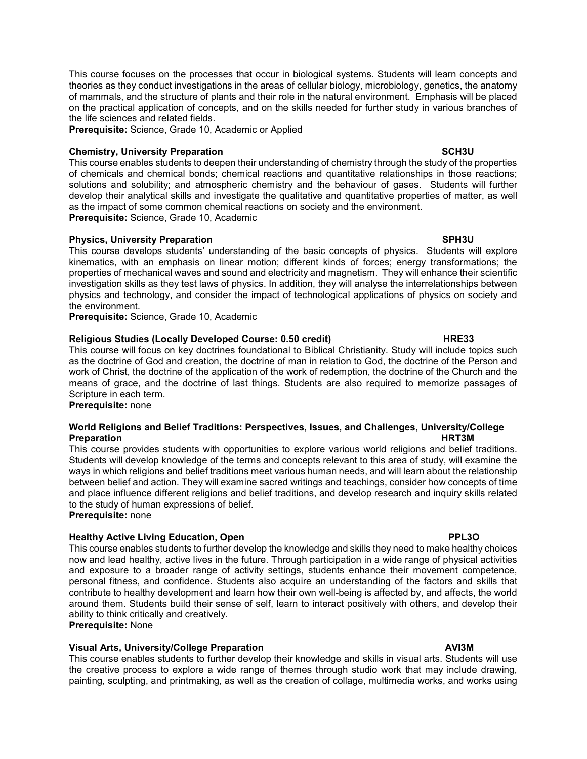This course focuses on the processes that occur in biological systems. Students will learn concepts and theories as they conduct investigations in the areas of cellular biology, microbiology, genetics, the anatomy of mammals, and the structure of plants and their role in the natural environment. Emphasis will be placed on the practical application of concepts, and on the skills needed for further study in various branches of the life sciences and related fields.

Prerequisite: Science, Grade 10, Academic or Applied

# Chemistry, University Preparation SCH3U SCH3U

This course enables students to deepen their understanding of chemistry through the study of the properties of chemicals and chemical bonds; chemical reactions and quantitative relationships in those reactions; solutions and solubility; and atmospheric chemistry and the behaviour of gases. Students will further develop their analytical skills and investigate the qualitative and quantitative properties of matter, as well as the impact of some common chemical reactions on society and the environment. Prerequisite: Science, Grade 10, Academic

### Physics, University Preparation SPH3U SPH3U

This course develops students' understanding of the basic concepts of physics. Students will explore kinematics, with an emphasis on linear motion; different kinds of forces; energy transformations; the properties of mechanical waves and sound and electricity and magnetism. They will enhance their scientific investigation skills as they test laws of physics. In addition, they will analyse the interrelationships between physics and technology, and consider the impact of technological applications of physics on society and the environment.

Prerequisite: Science, Grade 10, Academic

## Religious Studies (Locally Developed Course: 0.50 credit) The MRE33

This course will focus on key doctrines foundational to Biblical Christianity. Study will include topics such as the doctrine of God and creation, the doctrine of man in relation to God, the doctrine of the Person and work of Christ, the doctrine of the application of the work of redemption, the doctrine of the Church and the means of grace, and the doctrine of last things. Students are also required to memorize passages of Scripture in each term.

Prerequisite: none

### World Religions and Belief Traditions: Perspectives, Issues, and Challenges, University/College Preparation HRT3M

This course provides students with opportunities to explore various world religions and belief traditions. Students will develop knowledge of the terms and concepts relevant to this area of study, will examine the ways in which religions and belief traditions meet various human needs, and will learn about the relationship between belief and action. They will examine sacred writings and teachings, consider how concepts of time and place influence different religions and belief traditions, and develop research and inquiry skills related to the study of human expressions of belief.

Prerequisite: none

# Healthy Active Living Education, Open **PPL3O**

This course enables students to further develop the knowledge and skills they need to make healthy choices now and lead healthy, active lives in the future. Through participation in a wide range of physical activities and exposure to a broader range of activity settings, students enhance their movement competence, personal fitness, and confidence. Students also acquire an understanding of the factors and skills that contribute to healthy development and learn how their own well-being is affected by, and affects, the world around them. Students build their sense of self, learn to interact positively with others, and develop their ability to think critically and creatively.

Prerequisite: None

## Visual Arts, University/College Preparation AVI3M

This course enables students to further develop their knowledge and skills in visual arts. Students will use the creative process to explore a wide range of themes through studio work that may include drawing, painting, sculpting, and printmaking, as well as the creation of collage, multimedia works, and works using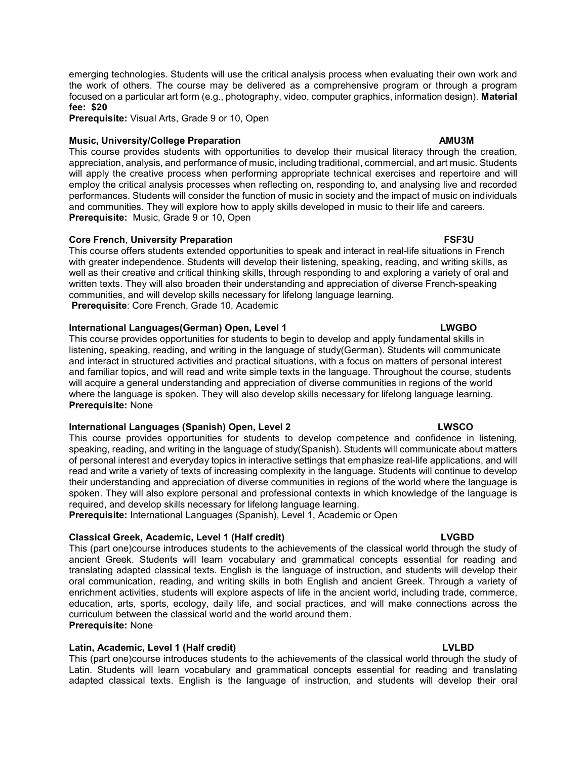Prerequisite: Visual Arts, Grade 9 or 10, Open

# Music, University/College Preparation AMU3M

This course provides students with opportunities to develop their musical literacy through the creation, appreciation, analysis, and performance of music, including traditional, commercial, and art music. Students will apply the creative process when performing appropriate technical exercises and repertoire and will employ the critical analysis processes when reflecting on, responding to, and analysing live and recorded performances. Students will consider the function of music in society and the impact of music on individuals and communities. They will explore how to apply skills developed in music to their life and careers. Prerequisite: Music, Grade 9 or 10, Open

# Core French, University Preparation FSF3U

This course offers students extended opportunities to speak and interact in real-life situations in French with greater independence. Students will develop their listening, speaking, reading, and writing skills, as well as their creative and critical thinking skills, through responding to and exploring a variety of oral and written texts. They will also broaden their understanding and appreciation of diverse French-speaking communities, and will develop skills necessary for lifelong language learning. Prerequisite: Core French, Grade 10, Academic

# International Languages(German) Open, Level 1 LWGBO

This course provides opportunities for students to begin to develop and apply fundamental skills in listening, speaking, reading, and writing in the language of study(German). Students will communicate and interact in structured activities and practical situations, with a focus on matters of personal interest and familiar topics, and will read and write simple texts in the language. Throughout the course, students will acquire a general understanding and appreciation of diverse communities in regions of the world where the language is spoken. They will also develop skills necessary for lifelong language learning. Prerequisite: None

# International Languages (Spanish) Open, Level 2 LWSCO LWSCO

This course provides opportunities for students to develop competence and confidence in listening, speaking, reading, and writing in the language of study(Spanish). Students will communicate about matters of personal interest and everyday topics in interactive settings that emphasize real-life applications, and will read and write a variety of texts of increasing complexity in the language. Students will continue to develop their understanding and appreciation of diverse communities in regions of the world where the language is spoken. They will also explore personal and professional contexts in which knowledge of the language is required, and develop skills necessary for lifelong language learning.

Prerequisite: International Languages (Spanish), Level 1, Academic or Open

# Classical Greek, Academic, Level 1 (Half credit) Classical Creek, Academic, Level 1 (Half credit)

This (part one)course introduces students to the achievements of the classical world through the study of ancient Greek. Students will learn vocabulary and grammatical concepts essential for reading and translating adapted classical texts. English is the language of instruction, and students will develop their oral communication, reading, and writing skills in both English and ancient Greek. Through a variety of enrichment activities, students will explore aspects of life in the ancient world, including trade, commerce, education, arts, sports, ecology, daily life, and social practices, and will make connections across the curriculum between the classical world and the world around them. Prerequisite: None

# Latin, Academic, Level 1 (Half credit) LVLBD

This (part one)course introduces students to the achievements of the classical world through the study of Latin. Students will learn vocabulary and grammatical concepts essential for reading and translating adapted classical texts. English is the language of instruction, and students will develop their oral